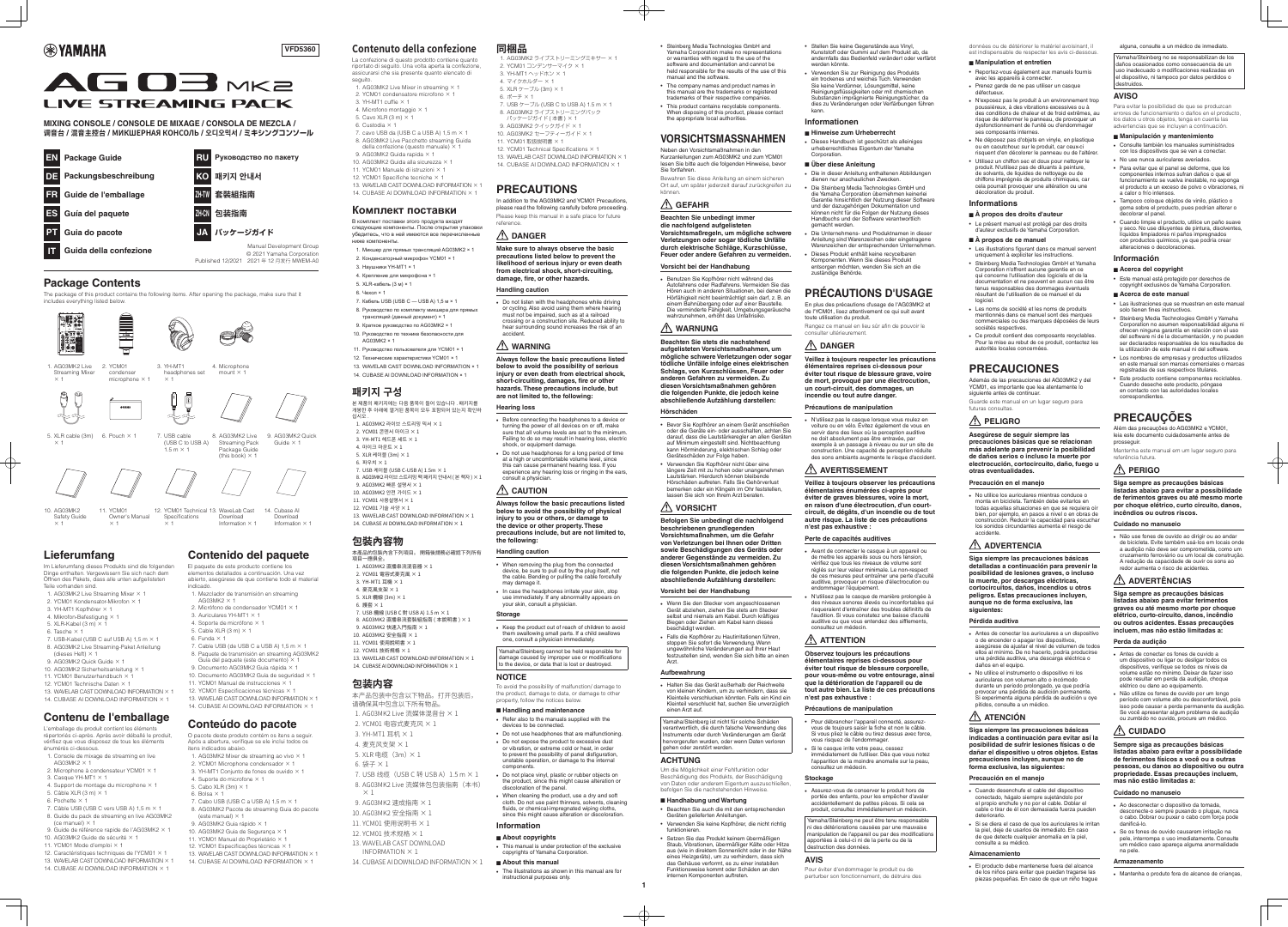# **®**YAMAHA



**MIXING CONSOLE / CONSOLE DE MIXAGE / CONSOLA DE MEZCLA. 週音台 / 混音主控台 / МИКШЕРНАЯ КОНСОЛЬ / 오디오믹서 / ミキシングコンソール** 

**PRECAUTIONS**

11. YCM01 取扱説明書 × 1

.reference

**DANGER**

**Handling caution** 

consult a physician. **CAUTION**

**the following: Handling** caution

may damage it.

.accident

**Hearing** loss

In addition to the AG03MK2 and YCM01 Precautions. please read the following carefully before proceeding. Please keep this manual in a safe place for future

13. WAVELAB CAST DOWNLOAD INFORMATION  $\times$  1 14. CUBASE AI DOWNLOAD INFORMATION  $\times$  1

1. AG03MK2 ライブストリーミングミキサー × 1

7. USB  $\tau$ - $\vec{J}$ IV (USB C to USB A) 1.5 m  $\times$  1 8. AG03MK2 ライブストリーミングパック パッケージガイド (本書) × 1 9. AG03MK2 クイックガイド × 1 10. AG03MK2 セーフティーガイド × 1

12. YCM01 Technical Specifications  $\times$  1

2. YCM01 コンデンサーマイク × 1 3  $YH-MT1 \wedge WK\pi Y \times 1$ 4. マイクホルダー × 1 5. XLR ケーブル (3m) × 1

**Make sure to always observe the basic precautions listed below to prevent the likelihood of serious injury or even death** from electrical shock, short-circuiting, damage, fire, or other hazards.

• Do not listen with the headphones while driving or cycling. Also avoid using them where hearing must not be impaired, such as at a railroad crossing or a construction site. Reduced ability to hear surrounding sound increases the risk of an

**WARNING**

**Always follow the basic precautions listed** below to avoid the possibility of serious injury or even death from electrical shock, short-circuiting, damages, fire or other hazards. These precautions include, but

Before connecting the headphones to a device or turning the power of all devices on or off, make sure that all volume levels are set to the minimum Failing to do so may result in hearing loss, electric

• Do not use headphones for a long period of time at a high or uncomfortable volume level, since this can cause permanent hearing loss. If you experience any hearing loss or ringing in the ears,

**Always follow the basic precautions listed** below to avoid the possibility of physical injury to you or others, or damage to the device or other property. These precautions include, but are not limited to,

• When removing the plug from the connected device, be sure to pull out by the plug itself, not the cable. Bending or pulling the cable forcefully

• In case the headphones irritate your skin, stop use immediately. If any abnormality appears on

• Keep the product out of reach of children to avoid them swallowing small parts. If a child swallows

Yamaha/Steinberg cannot be held responsible for damage caused by improper use or modifications to the device, or data that is lost or destroyed.

In avoid the possibility of malfunction/ damage t the product, damage to data, or damage to other

 $\cdot$  Refer also to the manuals supplied with the

• Do not use headphones that are malfunctioning. • Do not expose the product to excessive dust or vibration, or extreme cold or heat, in order to prevent the possibility of panel disfiguration, unstable operation, or damage to the internal

• Do not place vinyl, plastic or rubber objects on the product, since this might cause alteration or

• When cleaning the product, use a dry and soft cloth. Do not use paint thinners, solvents, cleaning fluids, or chemical-impregnated wiping cloths, since this might cause alteration or discoloration.

• This manual is under protection of the exclusive

• The illustrations as shown in this manual are for

copyrights of Yamaha Corporation.

your skin, consult a physician.

property, follow the notices below. ■ Handling and maintenance

devices to be connected.

discoloration of the panel

**Information** ■ About copyrights

■ About this manual

instructional purposes only.

one, consult a physician immediately.

are not limited to, the following:

shock, or equipment damage.

**Storage**

 **aufgelisteten nachfolgend die** Vorsichtsmaßregeln, um mögliche schwere Verletzungen oder sogar tödliche Unfälle **durch elektrische Schläge, Kurzschlüsse,** Feuer oder andere Gefahren zu vermeiden.

#### **Vorsicht bei der Handhabung**

• Benutzen Sie Kopfhörer nicht während des Autofahrens oder Radfahrens. Vermeiden Sie das Hören auch in anderen Situationen, bei denen die Hörfähigkeit nicht beeinträchtigt sein darf, z. B. an einem Bahnübergang oder auf einer Baustelle. Die verminderte Fähigkeit, Umgebungsgeräusche wahrzunehmen, erhöht das Unfallrisiko.

**NOTICE**

**Beachten Sie stets die nachstehend** aufgelisteten Vorsichtsmaßnahmen, um mögliche schwere Verletzungen oder sogar tödliche Unfälle infolge eines elektrischen **Schlags, von Kurzschlüssen, Feuer oder** anderen Gefahren zu vermeiden. Zu  **gehören Vorsichtsmaßnahmen diesen** die folgenden Punkte, die jedoch keine **:darstellen Aufzählung abschließende**

.components

**Befolgen Sie unbedingt die nachfolgend** beschriebenen grundlegenden **Vorsichtsmaßnahmen, um die Gefahr** von Verletzungen bei Ihnen oder Dritten sowie Beschädigungen des Geräts oder anderer Gegenstände zu vermeiden. Zu  **gehören Vorsichtsmaßnahmen diesen** die folgenden Punkte, die jedoch keine **:darstellen Aufzählung abschließende**

#### **Vorsicht bei der Handhabung**

• Wenn Sie den Stecker vom angeschlossenen Gerät abziehen, ziehen Sie stets am Stecker selbst und niemals am Kabel. Durch kräftiges Biegen oder Ziehen am Kabel kann dieses beschädigt werden

• Falls die Kopfhörer zu Hautirritationen führen, stoppen Sie sofort die Verwendung. Wenn ungewöhnliche Veränderungen auf Ihrer Haut iestzustellen sind, wenden Sie sich bitte an einen

 Reichweite der außerhalb Gerät das Sie Halten• von kleinen Kindern um zu verhindern, dass sie Kleinteile verschlucken könnten. Falls ein Kind ein Kleinteil verschluckt hat, suchen Sie unverzüglich einen Arzt auf.

Yamaha/Steinberg ist nicht für solche Schäden verantwortlich, die durch falsche Verwendung des nstruments oder durch Veränderungen am Gerät hervorgerufen wurden, oder wenn Daten verloren gehen oder zerstört werden.

| <b>Package Guide</b>         | <b>RU</b>                                                                                     |  |  |  |
|------------------------------|-----------------------------------------------------------------------------------------------|--|--|--|
| EN                           | Руководство по пакету                                                                         |  |  |  |
| Packungsbeschreibung         | KO                                                                                            |  |  |  |
| DE                           | 패키지 안내서                                                                                       |  |  |  |
| <b>FR</b>                    | 套裝組指南                                                                                         |  |  |  |
| Guide de l'emballage         | ZH-TW                                                                                         |  |  |  |
| ES                           | 包装指南                                                                                          |  |  |  |
| Guía del paquete             | ZH-CN                                                                                         |  |  |  |
| Guia do pacote               | パッケージガイド<br>JA.                                                                               |  |  |  |
| IП<br>Guida della confezione | Manual Development Group<br>© 2021 Yamaha Corporation<br>Published 12/2021 2021年12月发行 MWEM-A0 |  |  |  |

# **Package Contents**

The package of this product contains the following items. After opening the package, make sure that it includes everything listed below.

3. YH-MT1

 $\times$  1

headphones set

 $(USSB C to USSB A)$  $1.5 \text{ m} \times 1$ 







4. Microphone mount  $\times$  1

> AG03MK2 Live **Streaming Pack** Package Guide (this book)  $\times$  1

**Contenido del paquete** El paquete de este producto contiene los elementos detallados a continuación. Una vez abierto, asegúrese de que contiene todo el material

1. Mezclador de transmisión en streaming

2. Micrófono de condensador YCM01  $\times$  1

7. Cable USB (de USB C a USB A)  $1,5$  m  $\times$ 8. Paquete de transmisión en streaming AG03MK2 Guía del paquete (este documento)  $\times$ 9. Documento AG03MK2 Guía rápida × 1 10. Documento AG03MK2 Guía de seguridad  $\times$ 11. YCM01 Manual de instrucciones  $\times$ 12 YCM01 Especificaciones técnicas  $\times$ 13. WAVELAB CAST DOWNLOAD INFORMATION  $\times$ 14. CUBASE AI DOWNLOAD INFORMATION  $\times$ 

**Conteúdo do pacote** O pacote deste produto contém os itens a seguir. Após a abertura, verifique se ele inclui todos os

1. AG03MK2 Mixer de streaming ao vivo  $\times$  1 2. YCM01 Microphone condensador  $\times$  1 3. YH-MT1 Conjunto de fones de ouvido  $\times$  1

7. Cabo USB (USB C a USB A)  $1,5$  m  $\times$  1 8. AG03MK2 Pacote de streaming Guia do pacote

13. WAVELAB CAST DOWNLOAD INFORMATION  $\times$  1 14. CUBASE AI DOWNLOAD INFORMATION  $\times$  1

. AG03MK2 Quick Guide  $\times$  1

14. Cubase A Download Information  $\times$  1

1. AG03MK2 Live Streaming Mixer  $\times$  1 2. YCM 01 condenser microphone  $\times$  1



5. XLR cable  $(3m)$  6. Pouch  $\times$  1  $\qquad$  7. USB cable

 $\times$  1

10. AG03MK2 Safety Guide  $\times$  1

Owner's Manual 12. YCM01 Technical 13. WaveLab Cast Specifications  $\times$  1 Download Information  $\times$  1

# **VORSICHTSMASSNAHMEN**

Neben den Vorsichtsmaßnahmen in den Kurzanleitungen zum AG03MK2 und zum YCM01 lesen Sie bitte auch die folgenden Hinweise, bevor Sie fortfahren

Bewahren Sie diese Anleitung an einem sicheren Ort auf, um später jederzeit darauf zurückgreifen zu **Verwenden Sie zur Reinigung des Produkts** ein trockenes und weiches Tuch. Verwenden Sie keine Verdünner, Lösungsmittel, keine Reinigungsflüssigkeiten oder mit chemischen Substanzen imprägnierte Reinigungstücher da dies zu Veränderungen oder Verfärbungen führen .kann

.können

**Beachten Sie unbedingt immer** 

# **GEFAHR**

### **WARNUNG**

#### **Hörschäden**

• Bevor Sie Kopfhörer an einem Gerät anschließer oder die Geräte ein- oder ausschalten, achten Sie darauf, dass die Lautstärkeregler an allen Geräten auf Minimum eingestellt sind. Nichtbeachtung kann Hörminderung, elektrischen Schlag oder Geräteschäden zur Folge haben.

• Verwenden Sie Kopfhörer nicht über eine längere Zeit mit zu hohen oder unangenehmen Lautstärken. Hierdurch können bleibende Hörschäden auftreten. Falls Sie Gehörverlust bemerken oder ein Klingeln im Ohr feststellen. Letter Letter Communissierung von der Letter

#### **VORSICHT**

.Arzt

#### **Aufbewahrung**

#### **ACHTUNG**

Um die Möglichkeit einer Fehlfunktion oder Beschädigung des Produkts, der Beschädigung von Daten oder anderem Eigentum auszuschließen befolgen Sie die nachstehenden Hinweise

#### ■ Handhabung und Wartung

• Beachten Sie auch die mit den entsprechenden Geräten gelieferten Anleitungen.

• Verwenden Sie keine Kopfhörer, die nicht richtig .funktionieren • Setzen Sie das Produkt keinem übermäßigen

Staub, Vibrationen, übermäßiger Kälte oder Hitze aus (wie in direktem Sonnenlicht oder in der Nähe eines Heizgeräts), um zu verhindern, dass sich das Gehäuse verformt, es zu einer instabilen Funktionsweise kommt oder Schäden an den internen Komponenten auftreten.

• Stellen Sie keine Gegenstände aus Vinyl, Kunststoff oder Gummi auf dem Produkt ab, da andernfalls das Bedienfeld verändert oder verfärbt werden könnte.

> As egúrese de seguir siempre las precauciones básicas que se relacionan más adelante para prevenir la posibilidad de daños serios o incluso la muerte por electrocución, cortocircuito, daño, fuego u **.eventualidades otras**

**Precaución en el manejo** 

• No utilice los auriculares mientras conduce o monta en bicicleta. También debe evitarlos en todas aquellas situaciones en que se requiera oír bien, por ejemplo, en pasos a nivel o en obras de construcción. Reducir la capacidad para escuchar los sonidos circundantes aumenta el riesgo de .accidente

**Siga siempre las precauciones básicas** detalladas a continuación para prevenir la posibilidad de lesiones graves, o incluso la muerte, por descargas eléctricas, cortocircuitos, daños, incendios u otros peligros. Estas precauciones incluyen, aunque no de forma exclusiva, las **:siguientes**

Yamaha/Steinberg no se responsabilizan de los daños ocasionados como consecuencia de un uso inadecuado o modificaciones realizadas en el dispositivo, ni tampoco por datos perdidos o .destruidos

### **Informationen**

.Corporation

- Hinweise zum Urheberrecht • Dieses Handbuch ist geschützt als alleiniges urheberrechtliches Eigentum der Yamaha
- Über diese Anleitung
- Die in dieser Anleitung enthaltenen Abbildungen dienen nur anschaulichen Zwecken
- Die Steinberg Media Technologies GmbH und die Yamaha Corporation übernehmen keinerlei Garantie hinsichtlich der Nutzung dieser Software und der dazugehörigen Dokumentation und können nicht für die Folgen der Nutzung dieses
- Handbuchs und der Software verantwortlich gemacht werden. Die Unternehmens- und Produktnamen in dieser
- Anleitung sind Warenzeichen oder eingetragene Warenzeichen der entsprechenden Unternehmen
- **Dieses Produkt enthält keine recycelbaren** Komponenten. Wenn Sie dieses Produkt entsorgen möchten, wenden Sie sich an die zuständige Behörde.

# **PRÉCAUTIONS D'USAGE**

En plus des précautions d'usage de l'AG03MK2 et de l'YCM01, lisez attentivement ce qui suit avant toute utilisation du produit.

Rangez ce manuel en lieu sûr afin de pouvoir le consulter ultérieurement.

> referência futura. **PERIGO**

## **DANGER**

**Veillez à toujours respecter les précautions élémentaires reprises ci-dessous pour** éviter tout risque de blessure grave, voire de mort, provoqué par une électrocution. un court-circuit, des dommages, un incendie ou tout autre danger

#### **Précautions de manipulation**

N'utilisez pas le casque lorsque vous roulez en voiture ou en vélo. Évitez également de vous en servir dans des lieux où la perception auditive ne doit absolument pas être entravée, par exemple à un passage à niveau ou sur un site de construction. Une capacité de perception réduite des sons ambiants augmente le risque d'accident

### **AVERTISSEMENT**

**Veillez à toujours observer les précautions pour après-ci énumérées élémentaires** éviter de graves blessures, voire la mort, circuit, de dégâts, d'un incendie ou de tout en raison d'une électrocution, d'un courtautre risque. La liste de ces précautions  $n$ 'est pas exhaustive :

Perte de capacités auditives

- Avant de connecter le casque à un appareil ou de mettre les appareils sous ou hors tension. vérifiez que tous les niveaux de volume sont réglés sur leur valeur minimale. Le non-respect de ces mesures peut entraîner une perte d'acuité auditive, provoquer un risque d'électrocution ou endommager l'équipement.
- N'utilisez pas le casque de manière prolongée à des niveaux sonores élevés ou inconfortables qu risqueraient d'entraîner des troubles définitifs de l'audition. Si vous constatez une baisse d'acuité auditive ou que vous entendez des sifflements consultez un médecin

mas não estão limitadas a: **manuseio no Cuidado**

eletrico ou dano ao equipamen • Não utilize os fones de ouvido por um longo período com volume alto ou desconfortável, pois isso pode causar a perda permanente da audição. Se você apresentar algum problema de audição ou zumbido no ouvido, procure um médico.

na pele. **Armazenamento**

**incêndios ou outros riscos. Cuidado no manuseio** 

Mantenha este manual em um lugar seguro para

solo tienen fines instructivos

## **ATTENTION**

**Observez toujours les précautions élémentaires reprises ci-dessous pour** éviter tout risque de blessure corporelle, pour vous-même ou votre entourage, ainsi que la détérioration de l'appareil ou de tout autre bien. La liste de ces précautions **: n'est pas exhaustive** 

**Précautions de manipulation** 

- vous de toujours saisir la fiche et non le câble. • Pour débrancher l'appareil connecté, assurez-Si vous pliez le câble ou tirez dessus avec force, vous risquez de l'endommager.
- Si le casque irrite votre peau, cessez immédiatement de l'utiliser. Dès que vous notez
- l'apparition de la moindre anomalie sur la peau, consultez un médecin

#### **Stockage**

• Assurez-vous de conserver le produit hors de portée des enfants, pour les empêcher d'avaler accidentellement de petites pièces. Si cela se produit, consultez immédiatement un médecin.

Yamaha/Steinberg ne peut être tenu responsable ni des détériorations causées par une mauvaise manipulation de l'appareil ou par des modifications apportées à celui-ci ni de la perte ou de la destruction des données.

**AVIS**

Pour éviter d'endommager le produit ou de perturber son fonctionnement, de détruire des données ou de détériorer le matériel avoisinant il est indispensable de respecter les avis ci-dessous

- Manipulation et entretien
- Reportez-vous également aux manuels fournis avec les appareils à connecter • Prenez garde de ne pas utiliser un casque
- .défectueux • N'exposez pas le produit à un environnement trop poussiéreux, à des vibrations excessives ou à des conditions de chaleur et de froid extrêmes, au risque de déformer le panneau, de provoquer un dysfonctionnement de l'unité ou d'endommager .<br>ses composants internes
- Ne déposez pas d'objets en vinyle, en plastique ou en caoutchouc sur le produit, car ceux-ci risquent d'en décolorer le panneau ou de l'altérer
- Utilisez un chiffon sec et doux pour nettoyer le produit. N'utilisez pas de diluants à peinture, de solvants, de liquides de nettoyage ou de chiffons imprégnés de produits chimiques, car cela pourrait provoquer une altération ou une décoloration du produit.

본 제품의 패키지에는 다음 품목이 들어 있습니다 . 패키지를 개봉한 후 아래에 열거된 품목이 모두 포함되어 있는지 확인하 . 십시오

- $1.$  AG03MK2 라이브 스트리밍 믹서  $\times$   $1.$
- 2. YCM01 콘덴서 마이크  $\times$  1
- 3. YH-MT1 헤드폰 세트  $\times$  1  $4.$  마이크 마운트  $\times 1$
- 5. XLR 케이블 (3m) × 1
- 6. 파우치  $\times$  1
- 7. USB 케이블 (USB C-USB A) 1.5m × 1 8. AG03MK2 라이브 스트리밍 팩 패키지 안내서 ( 본 책자 )  $\times$  1
- 9. AG03MK2 빠른 설명서 × 1
- 10. AG03MK2 안전 가이드  $\times$  1
- 11. YCM01 사용설명서 × 1
- 12. YCM01 기술 사양 × 1
- 13. WAVELAB CAST DOWNLOAD INFORMATION  $\times$  1 14. CUBASE AI DOWNLOAD INFORMATION  $\times$  1

### **Informations**

- À propos des droits d'auteur
- Le présent manuel est protégé par des droits d'auteur exclusifs de Yamaha Corporation.
- **A** propos de ce manuel
- Les illustrations figurant dans ce manuel servent uniquement à expliciter les instructions
- Steinberg Media Technologies GmbH et Yamaha Corporation n'offrent aucune garantie en ce qui concerne l'utilisation des logiciels et de la documentation et ne peuvent en aucun cas être tenus responsables des dommages éventuels résultant de l'utilisation de ce manuel et du .logiciel
- Les noms de société et les noms de produits mentionnés dans ce manuel sont des marques commerciales ou des marques déposées de leurs sociétés respectives
- Ce produit contient des composants recyclables. Pour la mise au rebut de ce produit, contactez les autorités locales concernées

# **PRECAUCIONES**

Además de las precauciones del AG03MK2 y del YCM01, es importante que lea atentamente lo siguiente antes de continuar.

Guarde este manual en un lugar seguro para futuras consultas.

## **PELIGRO**

## **ADVERTENCIA**

#### **auditiva Pérdida**

- Antes de conectar los auriculares a un dispositivo o de encender o apagar los dispositivos, asegúrese de ajustar el nivel de volumen de todos ellos al mínimo. De no hacerlo, podría producirse una pérdida auditiva, una descarga eléctrica o daños en el equipo.
- No utilice el instrumento o dispositivo ni los auriculares con volumen alto o incómodo durante un periodo prolongado, va que podría provocar una pérdida de audición permanente. Si experimenta alguna pérdida de audición u oye pitidos, consulte a un médico.

### **ATENCIÓN**

**Siga siempre las precauciones básicas** indicadas a continuación para evitar así la posibilidad de sufrir lesiones físicas o de dañar el dispositivo u otros objetos. Estas precauciones incluyen, aunque no de forma exclusiva, las siguientes:

#### **Precaución en el manejo**

- Cuando desenchufe el cable del dispositivo conectado, hágalo siempre sujetándolo por el propio enchufe y no por el cable. Doblar el cable o tirar de él con demasiada fuerza pueden .deteriorarlo
- Si se diera el caso de que los auriculares le irritan la piel, deje de usarlos de inmediato. En caso de que detecte cualquier anomalía en la piel, consulte a su médico.

#### **Almacenamiento**

• El producto debe mantenerse fuera del alcance de los niños para evitar que puedan tragarse las piezas pequeñas. En caso de que un niño trague alguna, consulte a un médico de inmediato

#### **AVISO**

Para evitar la posibilidad de que se produzcan errores de funcionamiento o daños en el producto, los datos u otros objetos, tenga en cuenta las advertencias que se incluyen a continuación.

• Consulte también los manuales suministrados con los dispositivos que se van a conectar. • No use nunca auriculares averiados. • Para evitar que el panel se deforme, que los componentes internos sufran daños o que el funcionamiento se vuelva inestable, no exponga el producto a un exceso de polvo o vibraciones, ni

• Tampoco coloque objetos de vinilo, plástico o o anno 1500 anno 1700 anno 1700 anno 1700 anno 1700 anno 1700 anno 1700 anno 1700 anno 1700 anno 1700 anno 170

• Este manual está protegido por derechos de copyright exclusivos de Yamaha Corporation.

• Las ilustraciones que se muestran en este manual

Steinberg Media Technologies GmbH y Yamaha Corporation no asumen responsabilidad alguna ni ofrecen ninguna garantía en relación con el uso del software ni de la documentación, y no pueden ser declarados responsables de los resultados de la utilización de este manual ni del software. • Los nombres de empresas y productos utilizados en este manual son marcas comerciales o marcas registradas de sus respectivos titulares. • Este producto contiene componentes reciclables. Cuando deseche este producto, póngase en contacto con las autoridades locales

• Cuando limpie el producto, utilice un paño suave y seco. No use diluyentes de pintura, disolventes líquidos limpiadores ni paños impregnados con productos químicos, ya que podría crear

#### ■ Manipulación y mantenimiento

a calor o frío intensos.

decolorar el panel.

**Información**

alteraciones o decoloraciones.

■ Acerca del copyright

■ Acerca de este manual

.correspondientes

**PRECAUÇÕES**

Além das precauções do AG03MK2 e YCM01, leia este documento cuidadosamente antes de

**Siga sempre as precauções básicas possibilidade a evitar para abaixo listadas de ferimentos graves ou até mesmo morte** por choque elétrico, curto circuito, danos,

• Não use fones de ouvido ao dirigir ou ao andar de bicicleta. Evite também usá-los em locais onde a audição não deve ser comprometida, como um cruzamento ferroviário ou um local de construção. A redução da capacidade de ouvir os sons ao

redor aumenta o risco de acidentes

**Siga sempre as precauções básicas listadas abaixo para evitar ferimentos** graves ou até mesmo morte por choque **elétrico, curto-circuito, danos, incêndio pu outros acidentes. Essas precauções** incluem, mas não estão limitadas a:

• Antes de conectar os fones de ouvido a um dispositivo ou ligar ou desligar todos os dispositivos, verifique se todos os níveis de volume estão no mínimo. Deixar de fazer isso pode resultar em perda da audição, choque

**Sempre siga as precauções básicas possibilidade a evitar para abaixo listadas** de ferimentos físicos a você ou a outras pessoas, ou danos ao dispositivo ou outra propriedade. Essas precauções incluem,

• Ao desconectar o dispositivo da tomada, desconecte-o sempre puxando o plugue, nunca o cabo. Dobrar ou puxar o cabo com forca pode

• Se os fones de ouvido causarem irritação na pele, interrompa o uso imediatamente. Consulte um médico caso apareça alguma anormalidade

• Mantenha o produto fora do alcance de crianças,

.prosseguir

**ADVERTÊNCIAS**

Perda da audição

**CUIDADO**

danificá-lo

# **Lieferumfang**

Im Lieferumfang dieses Produkts sind die folgenden Dinge enthalten. Vergewissern Sie sich nach dem Öffnen des Pakets, dass alle unten aufgelisteten Teile vorhanden sind.

11. YCM 0

 $\times$  1

- 1. AG03MK2 Live Streaming Mixer  $\times$  1
- 2. YCM01 Kondensator-Mikrofon  $\times$  1
- 3. YH-MT1 Kopfhörer  $\times$  1
- 4. Mikrofon-Befestigung  $\times$  1
- 5. XLR-Kabel (3 m)  $\times$  1
- 6. Tasche  $\times$  1
- 7. USB-Kabel (USB C auf USB A)  $1,5$  m  $\times$  1 And Anleitung Paket-Anleitung (dieses Heft)  $\times$  1
- 9. AG03MK2 Quick Guide  $\times$  1
- 10. AG03MK2 Sicherheitsanleitung  $\times$  1
- 11. YCM01 Benutzerhandbuch  $\times$  1
- 12 YCM01 Technische Daten  $\times$  1
- 13. WAVELAB CAST DOWNLOAD INFORMATION  $\times$  1
- 14. CUBASE AI DOWNLOAD INFORMATION  $\times$  1

# **Contenu de l'emballage**

L'emballage du produit contient les éléments répertoriés ci-après. Après avoir déballé le produit, vérifiez que vous disposez de tous les éléments énumérés ci-dessous.

- 1. Console de mixage de streaming en live
- $AGO3MK2 \times 1$ 2. Microphone à condensateur YCM01  $\times$  1.
- 3. Casque YH-MT1  $\times$  1
- 4. Support de montage du microphone  $\times$  1.
- 5. Câble XLR  $(3 \text{ m}) \times 1$
- 6. Pochette  $\times$  1
- 7. Câble USB (USB C vers USB A)  $1,5$  m  $\times$  1. 8. Guide du pack de streaming en live AG03MK2 (ce manuel)  $\times$  1
- 9. Guide de référence rapide de l'AG03MK2  $\times$  1
- 10. AG03MK2 Guide de sécurité  $\times$  1
- 11. YCM01 Mode d'emploi  $\times$  1
- 12. Caractéristiques techniques de l'YCM01  $\times$  1
- 13. WAVELAB CAST DOWNLOAD INFORMATION  $\times$  1 14. CUBASE AI DOWNLOAD INFORMATION  $\times$  1

.indicado

 $AGO3MK2 \times 1$ 

itens indicados abaixo.

6. Bolsa  $\times$  1

4. Suporte do microfone  $\times$  1 5. Cabo XLR (3m)  $\times$  1

(este manual)  $\times$ 9. AG03MK2 Guia rápido × 1 10. AG03MK2 Guia de Segurança  $\times$ 11. YCM01 Manual do Proprietário  $\times$ 12. YCM01 Especificações técnicas  $\times$ 

6. Funda  $\times$  1

3. Auriculares YH-MT1  $\times$  1 4. Soporte de micrófono  $\times$  1 5. Cable XLR  $(3 \text{ m}) \times 1$ 

# **confezione della Contenuto**

La confezione di questo prodotto contiene quanto riportato di seguito. Una volta aperta la confezione, assicurarsi che sia presente quanto elencato di seguito.

- 1. AG03MK2 Live Mixer in streaming  $\times$  1
- 2. YCM01 condensatore microfono  $\times$  1
- 3. YH-MT1 cuffie  $\times$  1 4. Microfono montaggio  $\times$  1
- 5. Cavo XLR  $(3 m) \times 1$
- 6. Custodia  $\times$  1

**VFD5360** 

- 7. cavo USB da (USB C a USB A)  $1.5 \text{ m} \times 1$ 8. AG03MK2 Live Pacchetto streaming Guida della confezione (questo manuale)  $\times$  1
- 9. AG03MK2 Guida rapida  $\times$  1
- 10. AG03MK2 Guida alla sicurezza  $\times$  1
- 11. YCM01 Manuale di istruzioni  $\times$  1
- 12. YCM01 Specifiche tecniche  $\times$  1 1.3. WAVELAB CAST DOWNLOAD INFORMATION  $\times$  1
- 14. CUBASE AI DOWNLOAD INFORMATION  $\times$  1

# **поставки Комплект**

В комплект поставки этого продукта входят следующие компоненты. После открытия упаковки убедитесь, что в ней имеются все перечисленные ниже компоненты

- 1. Микшер для прямых трансляций AG03MK2 × 1. 2. Конденсаторный микрофон YCM01 × 1
- 3. Наушники YH-MT1 × 1
- 4. Крепление для микрофона × 1
- 5. XLR-кабель (3 м) × 1
- 6. Чехол × 1
- 7. Кабель USB (USB С USB А) 1,5 м × 1. 8. Руководство по комплекту микшера для прямых
- трансляций (данный документ) × 2
- 9. Краткое руководство по AG03MK2 × 1 10. Руководство по технике безопасности для
- AG03MK2 × 1
- 11. Руководство пользователя для YCM01 × 1
- 12. Технические характеристики YCM01 × 1
- 13. WAVELAB CAST DOWNLOAD INFORMATION × 1
- 14 CURASE ALDOWNLOAD INFORMATION x 1

# **패키지 구성**

# **包裝內容物**

- 本產品的包裝內含下列項目。 開箱後請務必確認下列所有
- 項目一應俱全。
- 1. AG03MK2 直播串流混音器  $\times$  1 2. YCM01 電容式麥克風 × 1
- 3. YH-MT1 耳機  $\times$  1
- 4. 麥克風支架 × 1
- 5. XLR 續線  $(3m) \times 1$
- 6. 護套  $\times$  1
- 7. USB 纜線 (USB C 對 USB A)  $1.5 \text{ m} \times 1$
- $8.$  AG03MK2 直播串流套裝組指南 ( 本說明書 )  $\times$  1
- 9. AG03MK2 快速入門指南 × 1 10. AG03MK2 安全指南 × 1
- 11. YCM01 使用說明書 × 1
- 12. YCM01 技術規格 × 1

3. YH-MT1 耳机  $\times$  1 4. 麦克风支架 × 1 5. XLR 电缆  $(3m) \times 1$ 

**包装内容**

6. 袋子 × 1

 $\times$  1

13. WAVELAB CAST DOWNLOAD INFORMATION  $\times$  1 14. CUBASE AI DOWNLOAD INFORMATION  $\times$  1

本产品包装中包含以下物品。打开包装后,

7. USB 线缆 (USB C 转 USB A) 1.5 m × 1 8. AG03MK2 Live 流媒体包包装指南(本书)

14. CUBASE AI DOWNLOAD INFORMATION  $\times$  1

1. AG03MK2 Live 流媒体混音台  $\times$  1 2. YCM01 电容式麦克风 × 1

。请确保其中包含以下所有物品

9. AG03MK2 速成指南 × 1 10. AG03MK2 安全指南 × 1 11. YCM01 使用说明书  $\times$  1 12. YCM01 技术规格 × 1 13. WAVELAB CAST DOWNLOAD INFORMATION  $\times$  1

• Steinberg Media Technologies GmbH and Yamaha Corporation make no representations or warranties with regard to the use of the software and documentation and cannot be held responsible for the results of the use of this manual and the software.

• The company names and product names in this manual are the trademarks or registered trademarks of their respective companies. • This product contains recyclable components. When disposing of this product, please contact the appropriate local authorities

**同梱品**

6. ポーチ × 1

**1**